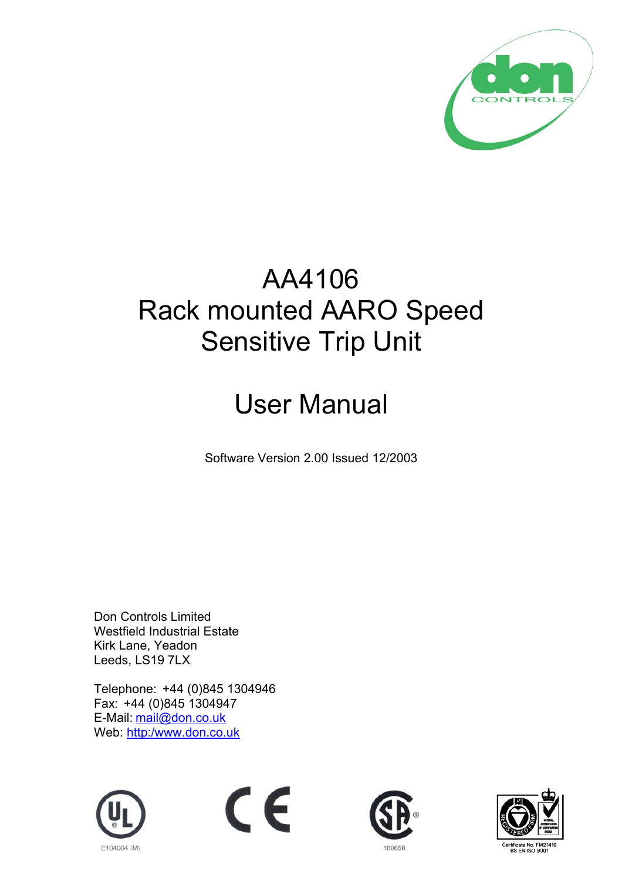

## AA4106 Rack mounted AARO Speed Sensitive Trip Unit

# User Manual

Software Version 2.00 Issued 12/2003

Don Controls Limited Westfield Industrial Estate Kirk Lane, Yeadon Leeds, LS19 7LX

Telephone: +44 (0)845 1304946 Fax: +44 (0)845 1304947 E-Mail: mail@don.co.uk Web: http:/www.don.co.uk







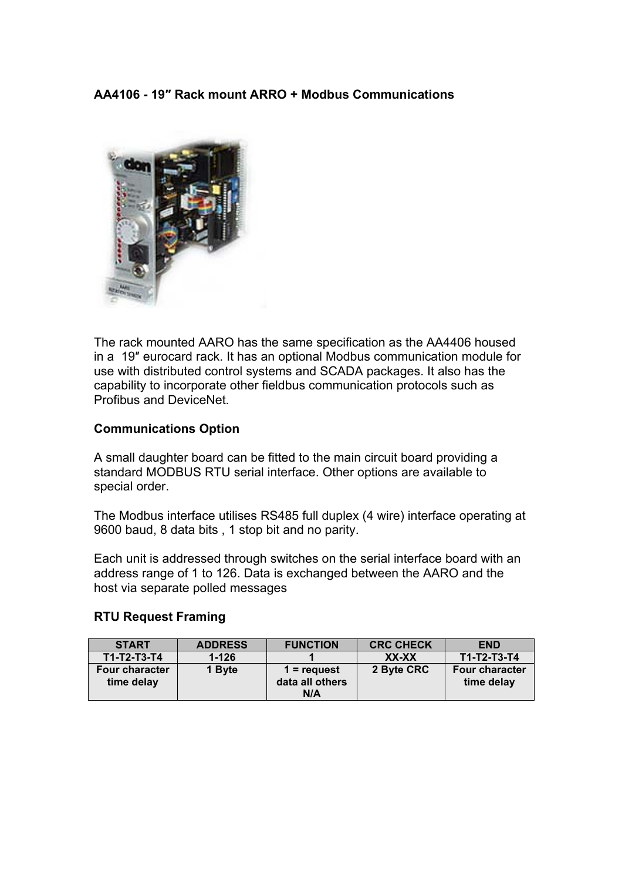## **AA4106 - 19″ Rack mount ARRO + Modbus Communications**



The rack mounted AARO has the same specification as the AA4406 housed in a 19″ eurocard rack. It has an optional Modbus communication module for use with distributed control systems and SCADA packages. It also has the capability to incorporate other fieldbus communication protocols such as Profibus and DeviceNet.

#### **Communications Option**

A small daughter board can be fitted to the main circuit board providing a standard MODBUS RTU serial interface. Other options are available to special order.

The Modbus interface utilises RS485 full duplex (4 wire) interface operating at 9600 baud, 8 data bits , 1 stop bit and no parity.

Each unit is addressed through switches on the serial interface board with an address range of 1 to 126. Data is exchanged between the AARO and the host via separate polled messages

#### **RTU Request Framing**

| <b>START</b>                        | <b>ADDRESS</b> | <b>FUNCTION</b>                         | <b>CRC CHECK</b> | <b>END</b>                          |
|-------------------------------------|----------------|-----------------------------------------|------------------|-------------------------------------|
| $T1-T2-T3-T4$                       | $1 - 126$      |                                         | XX-XX            | T1-T2-T3-T4                         |
| <b>Four character</b><br>time delay | 1 Byte         | $1 =$ request<br>data all others<br>N/A | 2 Byte CRC       | <b>Four character</b><br>time delay |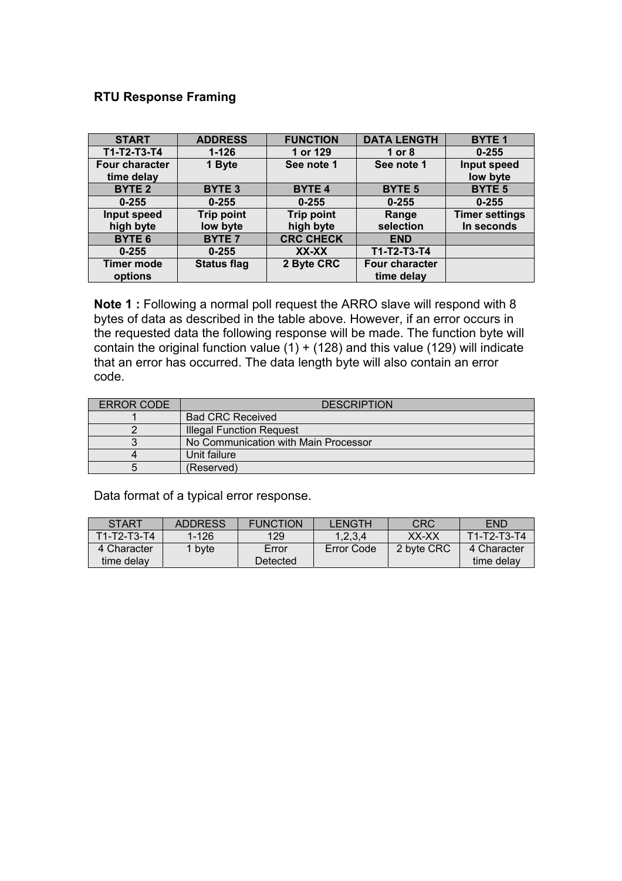## **RTU Response Framing**

| <b>START</b>          | <b>ADDRESS</b>     | <b>FUNCTION</b>   | <b>DATA LENGTH</b> | <b>BYTE1</b>          |
|-----------------------|--------------------|-------------------|--------------------|-----------------------|
| T1-T2-T3-T4           | $1 - 126$          | 1 or 129          | 1 or $8$           | $0 - 255$             |
| <b>Four character</b> | 1 Byte             | See note 1        | See note 1         | Input speed           |
| time delay            |                    |                   |                    | low byte              |
| <b>BYTE 2</b>         | <b>BYTE 3</b>      | <b>BYTE 4</b>     | <b>BYTE 5</b>      | <b>BYTE 5</b>         |
| $0 - 255$             | $0 - 255$          | $0 - 255$         | $0 - 255$          | $0 - 255$             |
| Input speed           | <b>Trip point</b>  | <b>Trip point</b> | Range              | <b>Timer settings</b> |
| high byte             | low byte           | high byte         | selection          | In seconds            |
| <b>BYTE 6</b>         | <b>BYTE 7</b>      | <b>CRC CHECK</b>  | <b>END</b>         |                       |
| $0 - 255$             | $0 - 255$          | XX-XX             | T1-T2-T3-T4        |                       |
| <b>Timer mode</b>     | <b>Status flag</b> | 2 Byte CRC        | Four character     |                       |
| options               |                    |                   | time delay         |                       |

**Note 1 :** Following a normal poll request the ARRO slave will respond with 8 bytes of data as described in the table above. However, if an error occurs in the requested data the following response will be made. The function byte will contain the original function value  $(1) + (128)$  and this value (129) will indicate that an error has occurred. The data length byte will also contain an error code.

| ERROR CODE | <b>DESCRIPTION</b>                   |  |  |
|------------|--------------------------------------|--|--|
|            | <b>Bad CRC Received</b>              |  |  |
|            | <b>Illegal Function Request</b>      |  |  |
|            | No Communication with Main Processor |  |  |
|            | Unit failure                         |  |  |
|            | (Reserved)                           |  |  |

Data format of a typical error response.

| <b>START</b>  | <b>ADDRESS</b>    | <b>FUNCTION</b> | LENGTH     | <b>CRC</b> | <b>END</b>  |
|---------------|-------------------|-----------------|------------|------------|-------------|
| $T1-T2-T3-T4$ | $1 - 126$         | 129             | 1,2,3,4    | XX-XX      | T1-T2-T3-T4 |
| 4 Character   | <sup>1</sup> byte | Error           | Error Code | 2 byte CRC | 4 Character |
| time delav    |                   | Detected        |            |            | time delav  |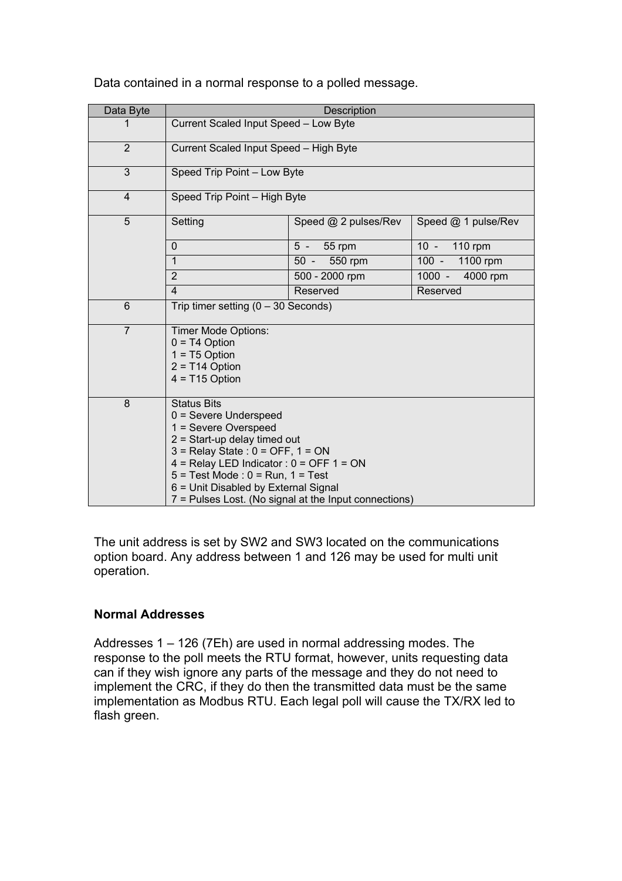| Data Byte      | Description                                                                                                                                                                                                                                                                                                                               |                      |                      |
|----------------|-------------------------------------------------------------------------------------------------------------------------------------------------------------------------------------------------------------------------------------------------------------------------------------------------------------------------------------------|----------------------|----------------------|
| 1              | Current Scaled Input Speed - Low Byte                                                                                                                                                                                                                                                                                                     |                      |                      |
| 2              | Current Scaled Input Speed - High Byte                                                                                                                                                                                                                                                                                                    |                      |                      |
| 3              | Speed Trip Point - Low Byte                                                                                                                                                                                                                                                                                                               |                      |                      |
| 4              | Speed Trip Point - High Byte                                                                                                                                                                                                                                                                                                              |                      |                      |
| 5              | Setting                                                                                                                                                                                                                                                                                                                                   | Speed @ 2 pulses/Rev | Speed @ 1 pulse/Rev  |
|                | $\mathbf{0}$                                                                                                                                                                                                                                                                                                                              | 5 - 55 rpm           | 10 - 110 rpm         |
|                | $\overline{1}$                                                                                                                                                                                                                                                                                                                            | 50 - 550 rpm         | 1100 rpm<br>$100 -$  |
|                | $\overline{2}$                                                                                                                                                                                                                                                                                                                            | 500 - 2000 rpm       | $1000 -$<br>4000 rpm |
|                | $\overline{4}$                                                                                                                                                                                                                                                                                                                            | Reserved             | Reserved             |
| 6              | Trip timer setting $(0 - 30$ Seconds)                                                                                                                                                                                                                                                                                                     |                      |                      |
| $\overline{7}$ | Timer Mode Options:<br>$0 = T4$ Option<br>$1 = T5$ Option<br>$2 = T14$ Option<br>$4 = T15$ Option                                                                                                                                                                                                                                         |                      |                      |
| 8              | <b>Status Bits</b><br>$0 =$ Severe Underspeed<br>1 = Severe Overspeed<br>$2 =$ Start-up delay timed out<br>$3$ = Relay State : $0$ = OFF, $1$ = ON<br>$4 =$ Relay LED Indicator: $0 =$ OFF 1 = ON<br>$5 = Test Mode : 0 = Run, 1 = Test$<br>6 = Unit Disabled by External Signal<br>7 = Pulses Lost. (No signal at the Input connections) |                      |                      |

Data contained in a normal response to a polled message.

The unit address is set by SW2 and SW3 located on the communications option board. Any address between 1 and 126 may be used for multi unit operation.

## **Normal Addresses**

Addresses 1 – 126 (7Eh) are used in normal addressing modes. The response to the poll meets the RTU format, however, units requesting data can if they wish ignore any parts of the message and they do not need to implement the CRC, if they do then the transmitted data must be the same implementation as Modbus RTU. Each legal poll will cause the TX/RX led to flash green.